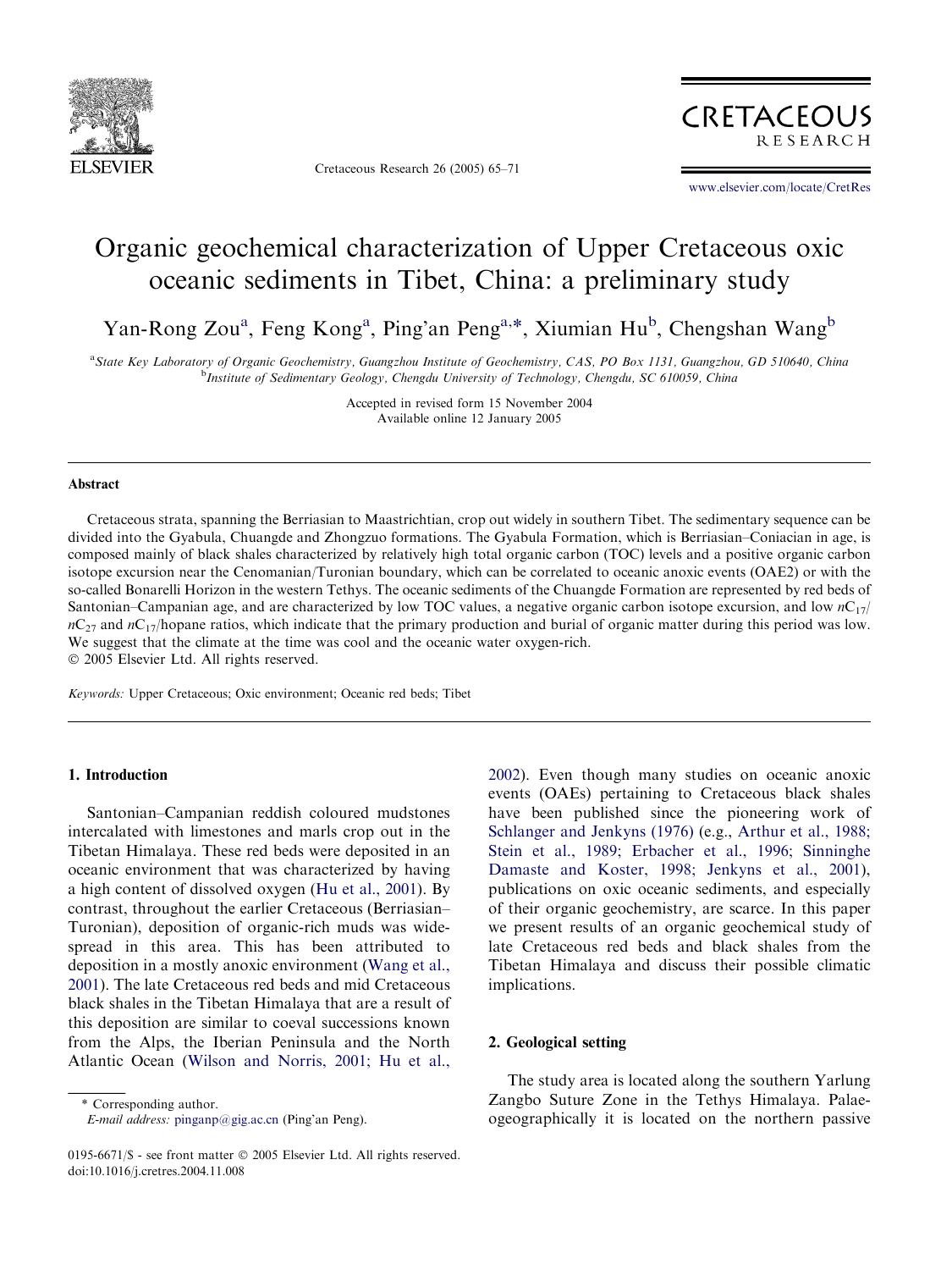

Cretaceous Research 26 (2005) 65–71



[www.elsevier.com/locate/CretRes](http://www.elsevier.com/locate/CretRes)

# Organic geochemical characterization of Upper Cretaceous oxic oceanic sediments in Tibet, China: a preliminary study

Yan-Rong Zou<sup>a</sup>, Feng Kong<sup>a</sup>, Ping'an Peng<sup>a,\*</sup>, Xiumian Hu<sup>b</sup>, Chengshan Wang<sup>b</sup>

a State Key Laboratory of Organic Geochemistry, Guangzhou Institute of Geochemistry, CAS, PO Box 1131, Guangzhou, GD 510640, China <sup>b</sup>Institute of Sedimentary Geology, Chengdu University of Technology, Chengdu, SC 610059, China

> Accepted in revised form 15 November 2004 Available online 12 January 2005

### Abstract

Cretaceous strata, spanning the Berriasian to Maastrichtian, crop out widely in southern Tibet. The sedimentary sequence can be divided into the Gyabula, Chuangde and Zhongzuo formations. The Gyabula Formation, which is Berriasian–Coniacian in age, is composed mainly of black shales characterized by relatively high total organic carbon (TOC) levels and a positive organic carbon isotope excursion near the Cenomanian/Turonian boundary, which can be correlated to oceanic anoxic events (OAE2) or with the so-called Bonarelli Horizon in the western Tethys. The oceanic sediments of the Chuangde Formation are represented by red beds of Santonian–Campanian age, and are characterized by low TOC values, a negative organic carbon isotope excursion, and low  $nC_{17}/$  $nC_{27}$  and  $nC_{17}$ /hopane ratios, which indicate that the primary production and burial of organic matter during this period was low. We suggest that the climate at the time was cool and the oceanic water oxygen-rich. 2005 Elsevier Ltd. All rights reserved.

Keywords: Upper Cretaceous; Oxic environment; Oceanic red beds; Tibet

#### 1. Introduction

Santonian–Campanian reddish coloured mudstones intercalated with limestones and marls crop out in the Tibetan Himalaya. These red beds were deposited in an oceanic environment that was characterized by having a high content of dissolved oxygen ([Hu et al., 2001\)](#page-6-0). By contrast, throughout the earlier Cretaceous (Berriasian– Turonian), deposition of organic-rich muds was widespread in this area. This has been attributed to deposition in a mostly anoxic environment [\(Wang et al.,](#page-6-0) [2001](#page-6-0)). The late Cretaceous red beds and mid Cretaceous black shales in the Tibetan Himalaya that are a result of this deposition are similar to coeval successions known from the Alps, the Iberian Peninsula and the North Atlantic Ocean [\(Wilson and Norris, 2001; Hu et al.,](#page-6-0)

\* Corresponding author.

E-mail address: [pinganp@gig.ac.cn](mailto:pinganp@gig.ac.cn) (Ping'an Peng).

[2002](#page-6-0)). Even though many studies on oceanic anoxic events (OAEs) pertaining to Cretaceous black shales have been published since the pioneering work of [Schlanger and Jenkyns \(1976\)](#page-6-0) (e.g., [Arthur et al., 1988;](#page-5-0) [Stein et al., 1989; Erbacher et al., 1996; Sinninghe](#page-5-0) [Damaste and Koster, 1998; Jenkyns et al., 2001\)](#page-5-0), publications on oxic oceanic sediments, and especially of their organic geochemistry, are scarce. In this paper we present results of an organic geochemical study of late Cretaceous red beds and black shales from the Tibetan Himalaya and discuss their possible climatic implications.

### 2. Geological setting

The study area is located along the southern Yarlung Zangbo Suture Zone in the Tethys Himalaya. Palaeogeographically it is located on the northern passive

<sup>0195-6671/\$ -</sup> see front matter © 2005 Elsevier Ltd. All rights reserved. doi:10.1016/j.cretres.2004.11.008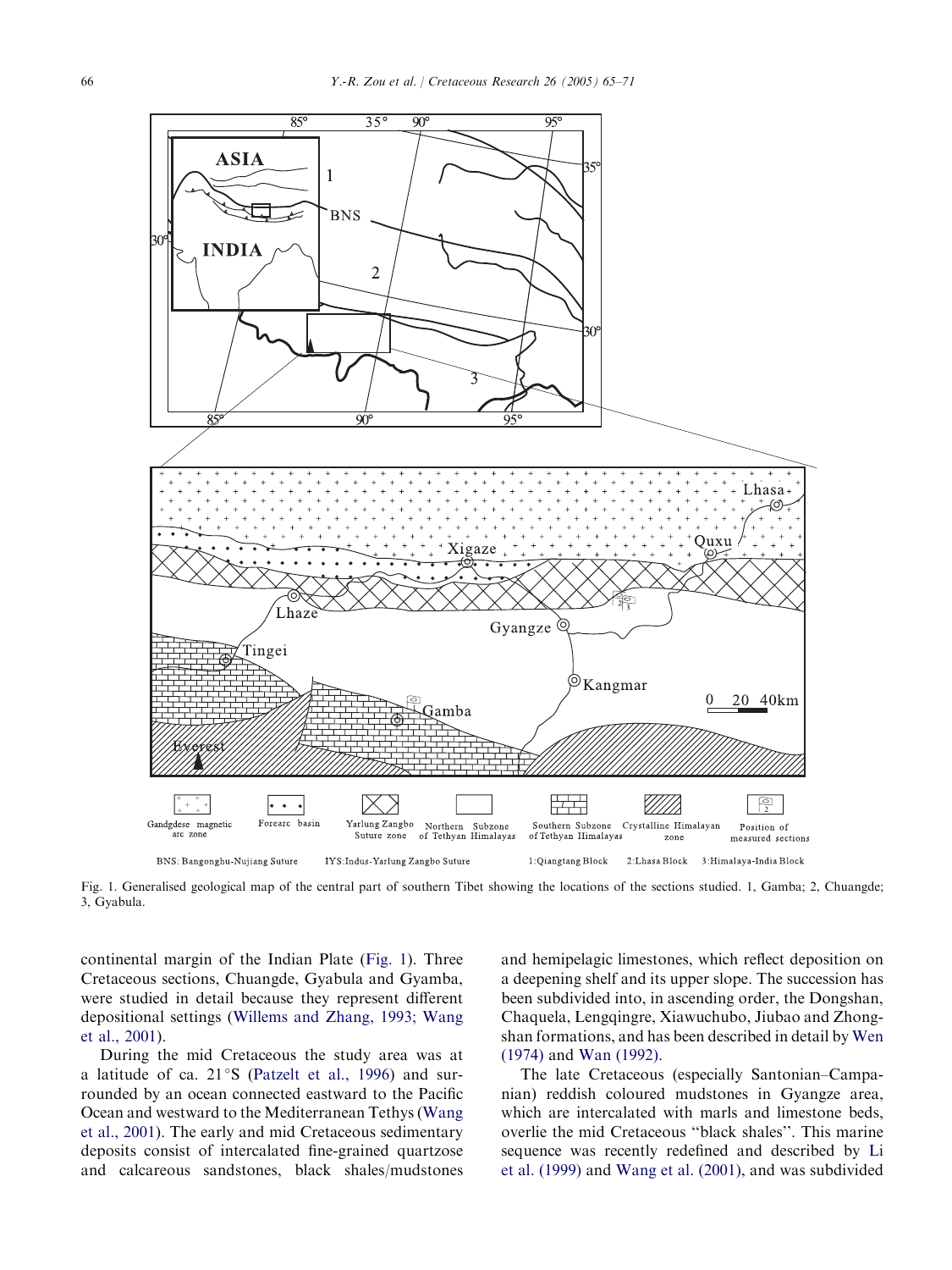

Fig. 1. Generalised geological map of the central part of southern Tibet showing the locations of the sections studied. 1, Gamba; 2, Chuangde; 3, Gyabula.

continental margin of the Indian Plate (Fig. 1). Three Cretaceous sections, Chuangde, Gyabula and Gyamba, were studied in detail because they represent different depositional settings ([Willems and Zhang, 1993; Wang](#page-6-0) [et al., 2001](#page-6-0)).

During the mid Cretaceous the study area was at a latitude of ca.  $21^{\circ}$ S [\(Patzelt et al., 1996\)](#page-6-0) and surrounded by an ocean connected eastward to the Pacific Ocean and westward to the Mediterranean Tethys [\(Wang](#page-6-0) [et al., 2001](#page-6-0)). The early and mid Cretaceous sedimentary deposits consist of intercalated fine-grained quartzose and calcareous sandstones, black shales/mudstones and hemipelagic limestones, which reflect deposition on a deepening shelf and its upper slope. The succession has been subdivided into, in ascending order, the Dongshan, Chaquela, Lengqingre, Xiawuchubo, Jiubao and Zhongshan formations, and has been described in detail by [Wen](#page-6-0) [\(1974\)](#page-6-0) and [Wan \(1992\).](#page-6-0)

The late Cretaceous (especially Santonian–Campanian) reddish coloured mudstones in Gyangze area, which are intercalated with marls and limestone beds, overlie the mid Cretaceous ''black shales''. This marine sequence was recently redefined and described by [Li](#page-6-0) [et al. \(1999\)](#page-6-0) and [Wang et al. \(2001\),](#page-6-0) and was subdivided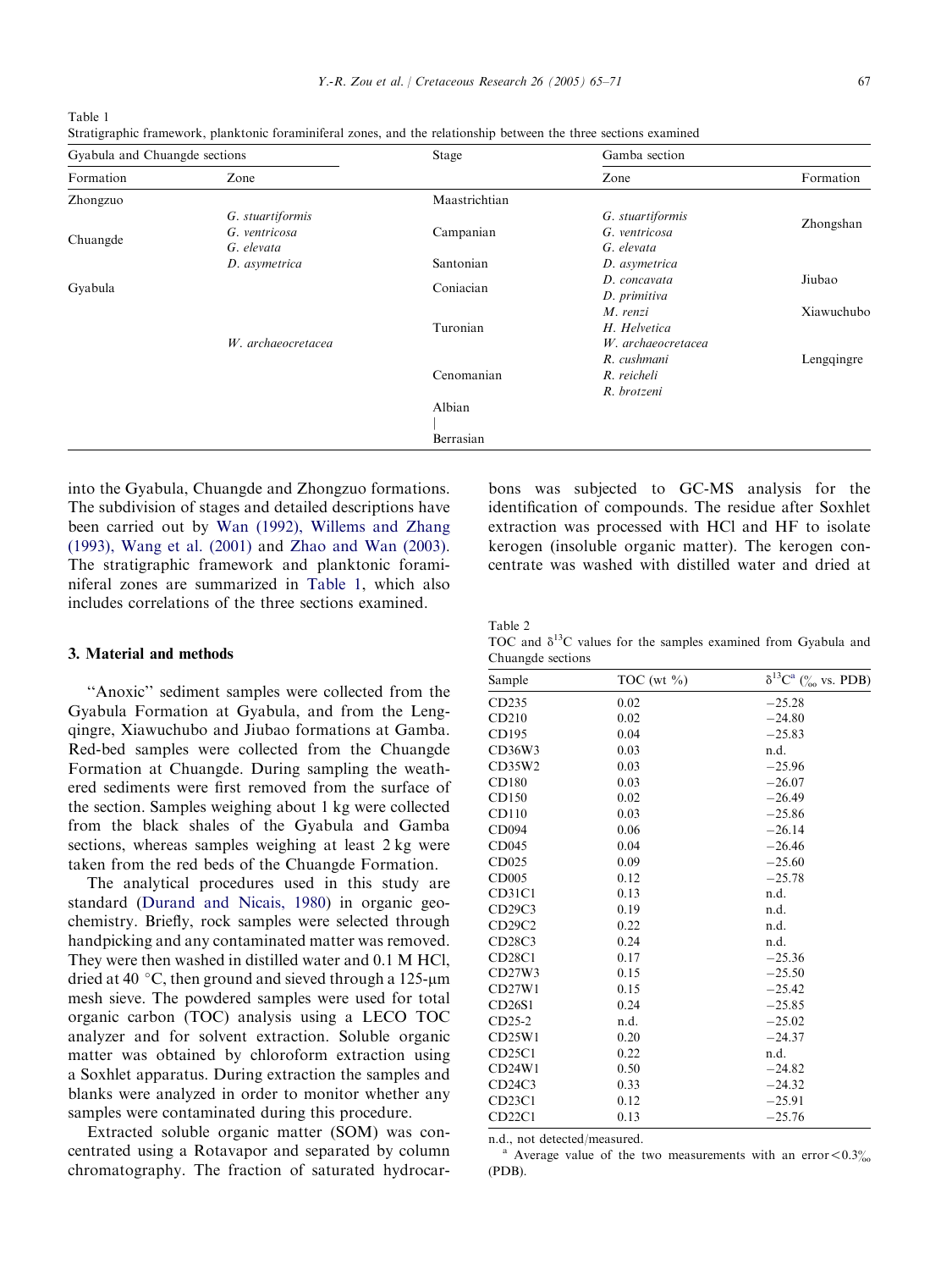into the Gyabula, Chuangde and Zhongzuo formations. The subdivision of stages and detailed descriptions have been carried out by [Wan \(1992\), Willems and Zhang](#page-6-0) [\(1993\), Wang et al. \(2001\)](#page-6-0) and [Zhao and Wan \(2003\).](#page-6-0) The stratigraphic framework and planktonic foraminiferal zones are summarized in Table 1, which also includes correlations of the three sections examined.

#### 3. Material and methods

"Anoxic" sediment samples were collected from the Gyabula Formation at Gyabula, and from the Lengqingre, Xiawuchubo and Jiubao formations at Gamba. Red-bed samples were collected from the Chuangde Formation at Chuangde. During sampling the weathered sediments were first removed from the surface of the section. Samples weighing about 1 kg were collected from the black shales of the Gyabula and Gamba sections, whereas samples weighing at least 2 kg were taken from the red beds of the Chuangde Formation.

The analytical procedures used in this study are standard ([Durand and Nicais, 1980\)](#page-5-0) in organic geochemistry. Briefly, rock samples were selected through handpicking and any contaminated matter was removed. They were then washed in distilled water and 0.1 M HCl, dried at 40 °C, then ground and sieved through a 125-µm mesh sieve. The powdered samples were used for total organic carbon (TOC) analysis using a LECO TOC analyzer and for solvent extraction. Soluble organic matter was obtained by chloroform extraction using a Soxhlet apparatus. During extraction the samples and blanks were analyzed in order to monitor whether any samples were contaminated during this procedure.

Extracted soluble organic matter (SOM) was concentrated using a Rotavapor and separated by column chromatography. The fraction of saturated hydrocarbons was subjected to GC-MS analysis for the identification of compounds. The residue after Soxhlet extraction was processed with HCl and HF to isolate kerogen (insoluble organic matter). The kerogen concentrate was washed with distilled water and dried at

Table 2 TOC and  $\delta^{13}$ C values for the samples examined from Gyabula and Chuangde sections

Sample TOC (wt  $\%$ )  $\delta^{13}C^a$  ( $\%$  vs. PDB)

| CD <sub>235</sub> | 0.02 | $-25.28$ |
|-------------------|------|----------|
| CD210             | 0.02 | $-24.80$ |
| CD195             | 0.04 | $-25.83$ |
| CD36W3            | 0.03 | n.d.     |
| CD35W2            | 0.03 | $-25.96$ |
| CD180             | 0.03 | $-26.07$ |
| CD150             | 0.02 | $-26.49$ |
| CD110             | 0.03 | $-25.86$ |
| CD094             | 0.06 | $-26.14$ |
| CD045             | 0.04 | $-26.46$ |
| CD025             | 0.09 | $-25.60$ |
| CD005             | 0.12 | $-25.78$ |
| <b>CD31C1</b>     | 0.13 | n.d.     |
| CD29C3            | 0.19 | n.d.     |
| CD29C2            | 0.22 | n.d.     |
| CD28C3            | 0.24 | n.d.     |
| <b>CD28C1</b>     | 0.17 | $-25.36$ |
| CD27W3            | 0.15 | $-25.50$ |
| CD27W1            | 0.15 | $-25.42$ |
| CD26S1            | 0.24 | $-25.85$ |
| $CD25-2$          | n.d. | $-25.02$ |
| CD25W1            | 0.20 | $-24.37$ |
| CD25C1            | 0.22 | n.d.     |
| CD24W1            | 0.50 | $-24.82$ |
| CD24C3            | 0.33 | $-24.32$ |
| CD23C1            | 0.12 | $-25.91$ |
| CD22Cl            | 0.13 | $-25.76$ |

n.d., not detected/measured.<br><sup>a</sup> Average value of the two measurements with an error < 0.3% (PDB).

<span id="page-2-0"></span>

| Table 1 |                                                                                                                   |  |
|---------|-------------------------------------------------------------------------------------------------------------------|--|
|         | Stratigraphic framework, planktonic foraminiferal zones, and the relationship between the three sections examined |  |

| Gyabula and Chuangde sections |                    | Stage         | Gamba section      |            |
|-------------------------------|--------------------|---------------|--------------------|------------|
| Formation                     | Zone               |               | Zone               | Formation  |
| Zhongzuo                      |                    | Maastrichtian |                    |            |
| Chuangde                      | G. stuartiformis   |               | G. stuartiformis   | Zhongshan  |
|                               | G. ventricosa      | Campanian     | G. ventricosa      |            |
|                               | G. elevata         |               | G. elevata         |            |
|                               | D. asymetrica      | Santonian     | D. asymetrica      |            |
| Gyabula                       |                    | Coniacian     | D. concavata       | Jiubao     |
|                               |                    |               | D. primitiva       |            |
|                               |                    |               | M. renzi           | Xiawuchubo |
|                               |                    | Turonian      | H. Helvetica       |            |
|                               | W. archaeocretacea |               | W. archaeocretacea |            |
|                               |                    |               | R. cushmani        | Lengqingre |
|                               |                    | Cenomanian    | R. reicheli        |            |
|                               |                    |               | R. brotzeni        |            |
|                               |                    | Albian        |                    |            |
|                               |                    |               |                    |            |
|                               |                    | Berrasian     |                    |            |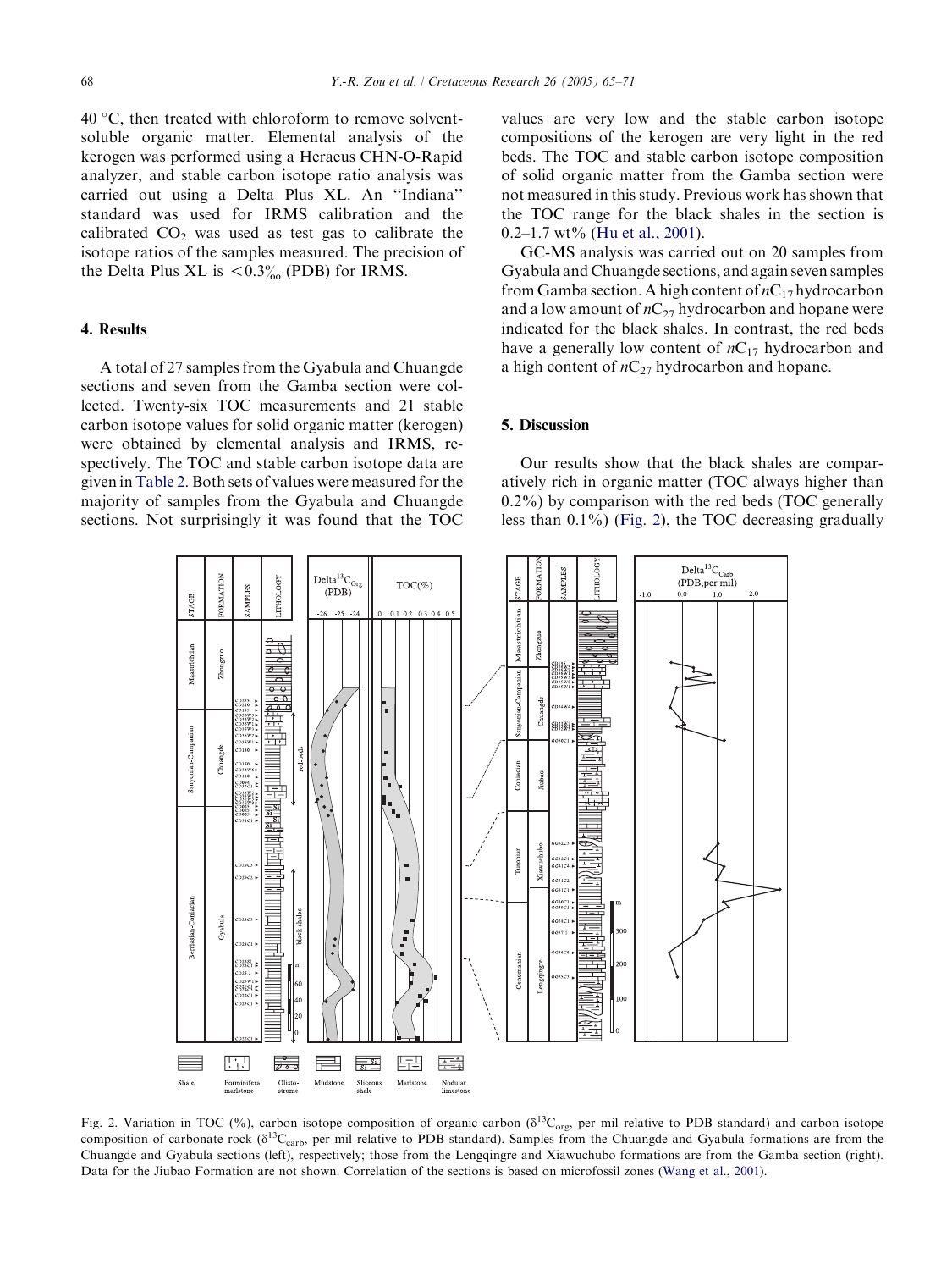<span id="page-3-0"></span> $40^{\circ}$ C, then treated with chloroform to remove solventsoluble organic matter. Elemental analysis of the kerogen was performed using a Heraeus CHN-O-Rapid analyzer, and stable carbon isotope ratio analysis was carried out using a Delta Plus XL. An ''Indiana'' standard was used for IRMS calibration and the calibrated  $CO<sub>2</sub>$  was used as test gas to calibrate the isotope ratios of the samples measured. The precision of the Delta Plus XL is  $< 0.3\%$  (PDB) for IRMS.

#### 4. Results

A total of 27 samples from the Gyabula and Chuangde sections and seven from the Gamba section were collected. Twenty-six TOC measurements and 21 stable carbon isotope values for solid organic matter (kerogen) were obtained by elemental analysis and IRMS, respectively. The TOC and stable carbon isotope data are given in [Table 2.](#page-2-0) Both sets of values were measured for the majority of samples from the Gyabula and Chuangde sections. Not surprisingly it was found that the TOC values are very low and the stable carbon isotope compositions of the kerogen are very light in the red beds. The TOC and stable carbon isotope composition of solid organic matter from the Gamba section were not measured in this study. Previous work has shown that the TOC range for the black shales in the section is 0.2–1.7 wt% [\(Hu et al., 2001](#page-6-0)).

GC-MS analysis was carried out on 20 samples from Gyabula and Chuangde sections, and again seven samples from Gamba section. A high content of  $nC_{17}$  hydrocarbon and a low amount of  $nC_{27}$  hydrocarbon and hopane were indicated for the black shales. In contrast, the red beds have a generally low content of  $nC_{17}$  hydrocarbon and a high content of  $nC_{27}$  hydrocarbon and hopane.

## 5. Discussion

Our results show that the black shales are comparatively rich in organic matter (TOC always higher than 0.2%) by comparison with the red beds (TOC generally less than 0.1%) (Fig. 2), the TOC decreasing gradually



Fig. 2. Variation in TOC (%), carbon isotope composition of organic carbon ( $\delta^{13}C_{\text{org}}$ , per mil relative to PDB standard) and carbon isotope composition of carbonate rock ( $\delta^{13}C_{\rm carb}$ , per mil relative to PDB standard). Samples from the Chuangde and Gyabula formations are from the Chuangde and Gyabula sections (left), respectively; those from the Lengqingre and Xiawuchubo formations are from the Gamba section (right). Data for the Jiubao Formation are not shown. Correlation of the sections is based on microfossil zones ([Wang et al., 2001](#page-6-0)).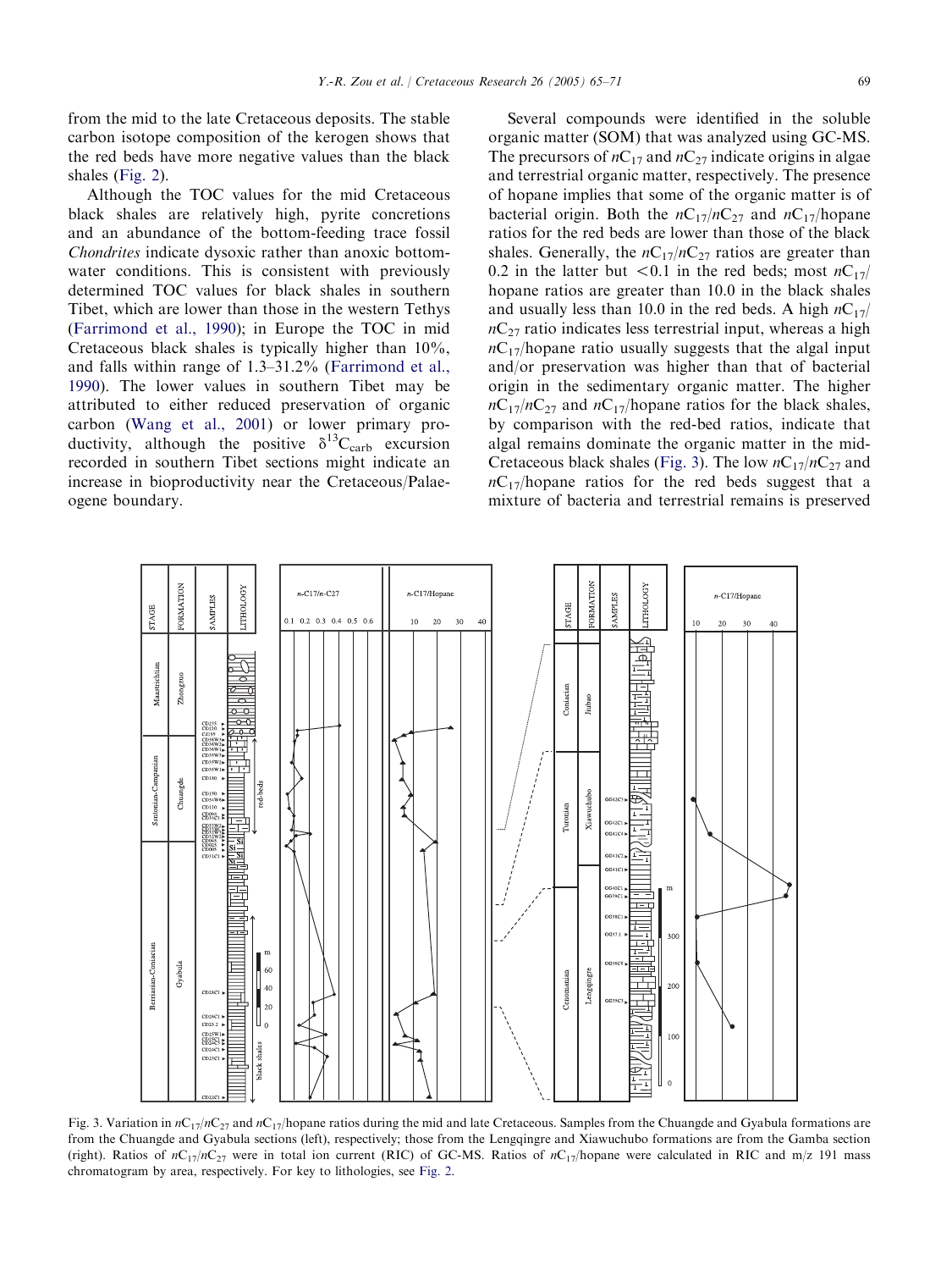from the mid to the late Cretaceous deposits. The stable carbon isotope composition of the kerogen shows that the red beds have more negative values than the black shales [\(Fig. 2\)](#page-3-0).

Although the TOC values for the mid Cretaceous black shales are relatively high, pyrite concretions and an abundance of the bottom-feeding trace fossil Chondrites indicate dysoxic rather than anoxic bottomwater conditions. This is consistent with previously determined TOC values for black shales in southern Tibet, which are lower than those in the western Tethys ([Farrimond et al., 1990\)](#page-6-0); in Europe the TOC in mid Cretaceous black shales is typically higher than 10%, and falls within range of 1.3–31.2% ([Farrimond et al.,](#page-6-0) [1990](#page-6-0)). The lower values in southern Tibet may be attributed to either reduced preservation of organic carbon [\(Wang et al., 2001](#page-6-0)) or lower primary productivity, although the positive  $\delta^{13}C_{\text{carb}}$  excursion recorded in southern Tibet sections might indicate an increase in bioproductivity near the Cretaceous/Palaeogene boundary.

Several compounds were identified in the soluble organic matter (SOM) that was analyzed using GC-MS. The precursors of  $nC_{17}$  and  $nC_{27}$  indicate origins in algae and terrestrial organic matter, respectively. The presence of hopane implies that some of the organic matter is of bacterial origin. Both the  $nC_{17}/nC_{27}$  and  $nC_{17}/h$ opane ratios for the red beds are lower than those of the black shales. Generally, the  $nC_{17}/nC_{27}$  ratios are greater than 0.2 in the latter but <0.1 in the red beds; most  $nC_{17}/$ hopane ratios are greater than 10.0 in the black shales and usually less than 10.0 in the red beds. A high  $nC_{17}/$  $nC_{27}$  ratio indicates less terrestrial input, whereas a high  $nC_{17}$ hopane ratio usually suggests that the algal input and/or preservation was higher than that of bacterial origin in the sedimentary organic matter. The higher  $nC_{17}/nC_{27}$  and  $nC_{17}/$ hopane ratios for the black shales, by comparison with the red-bed ratios, indicate that algal remains dominate the organic matter in the mid-Cretaceous black shales (Fig. 3). The low  $nC_{17}/nC_{27}$  and  $nC_{17}/h$ opane ratios for the red beds suggest that a mixture of bacteria and terrestrial remains is preserved



Fig. 3. Variation in  $nC_{17}/nC_{27}$  and  $nC_{17}/n$  opane ratios during the mid and late Cretaceous. Samples from the Chuangde and Gyabula formations are from the Chuangde and Gyabula sections (left), respectively; those from the Lengqingre and Xiawuchubo formations are from the Gamba section (right). Ratios of  $nC_{17}/nC_{27}$  were in total ion current (RIC) of GC-MS. Ratios of  $nC_{17}/h$ opane were calculated in RIC and m/z 191 mass chromatogram by area, respectively. For key to lithologies, see [Fig. 2](#page-3-0).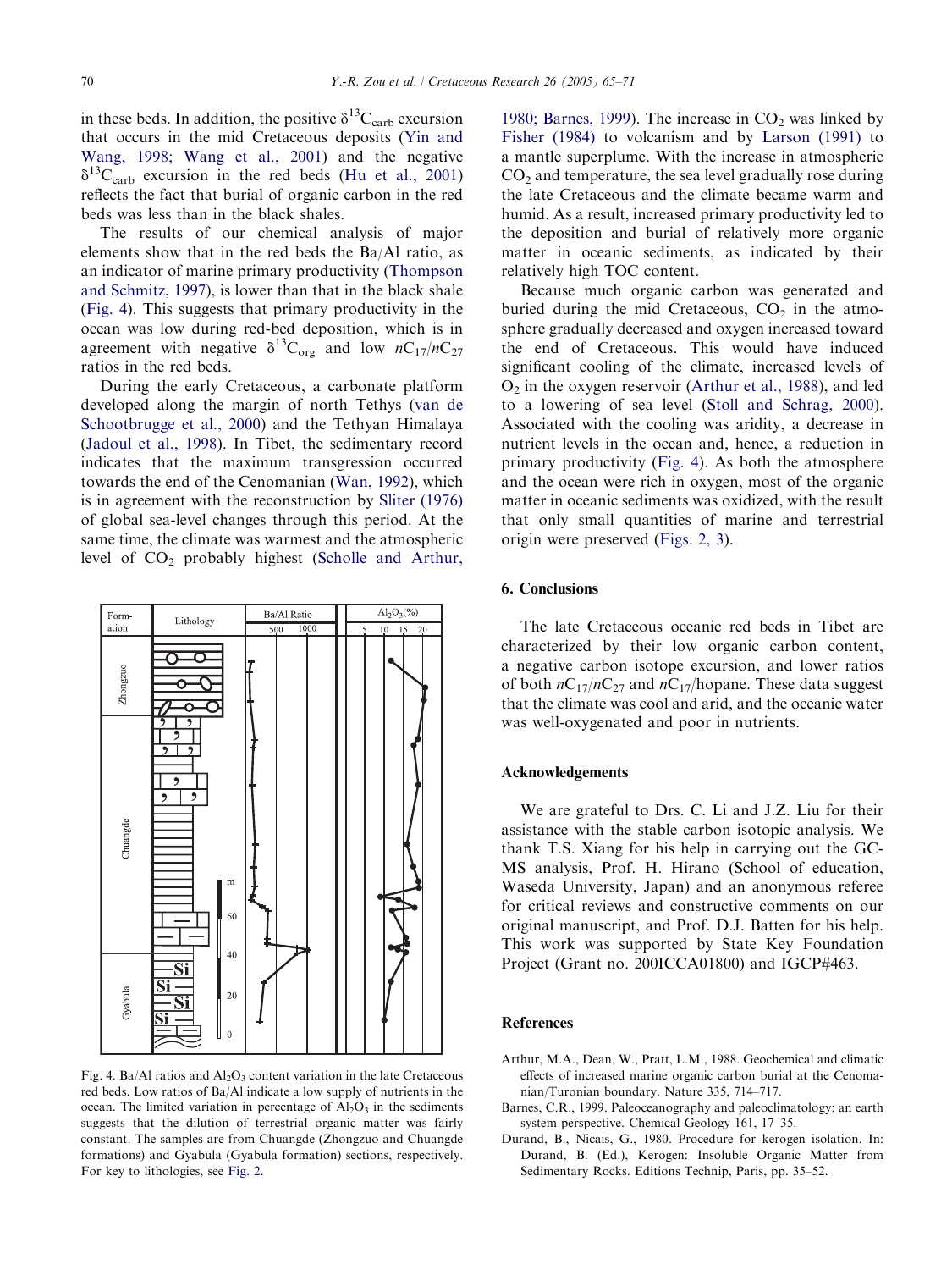<span id="page-5-0"></span>in these beds. In addition, the positive  $\delta^{13}C_{\text{carb}}$  excursion that occurs in the mid Cretaceous deposits ([Yin and](#page-6-0) [Wang, 1998; Wang et al., 2001\)](#page-6-0) and the negative  $\delta^{13}C_{\rm carb}$  excursion in the red beds [\(Hu et al., 2001](#page-6-0)) reflects the fact that burial of organic carbon in the red beds was less than in the black shales.

The results of our chemical analysis of major elements show that in the red beds the Ba/Al ratio, as an indicator of marine primary productivity [\(Thompson](#page-6-0) [and Schmitz, 1997\)](#page-6-0), is lower than that in the black shale (Fig. 4). This suggests that primary productivity in the ocean was low during red-bed deposition, which is in agreement with negative  $\delta^{13}C_{org}$  and low  $nC_{17}/nC_{27}$ ratios in the red beds.

During the early Cretaceous, a carbonate platform developed along the margin of north Tethys [\(van de](#page-6-0) [Schootbrugge et al., 2000](#page-6-0)) and the Tethyan Himalaya ([Jadoul et al., 1998\)](#page-6-0). In Tibet, the sedimentary record indicates that the maximum transgression occurred towards the end of the Cenomanian ([Wan, 1992\)](#page-6-0), which is in agreement with the reconstruction by [Sliter \(1976\)](#page-6-0) of global sea-level changes through this period. At the same time, the climate was warmest and the atmospheric level of  $CO<sub>2</sub>$  probably highest ([Scholle and Arthur,](#page-6-0)



Fig. 4. Ba/Al ratios and  $A_1 O_3$  content variation in the late Cretaceous red beds. Low ratios of Ba/Al indicate a low supply of nutrients in the ocean. The limited variation in percentage of  $Al_2O_3$  in the sediments suggests that the dilution of terrestrial organic matter was fairly constant. The samples are from Chuangde (Zhongzuo and Chuangde formations) and Gyabula (Gyabula formation) sections, respectively. For key to lithologies, see [Fig. 2.](#page-3-0)

[1980; Barnes, 1999\)](#page-6-0). The increase in  $CO<sub>2</sub>$  was linked by [Fisher \(1984\)](#page-6-0) to volcanism and by [Larson \(1991\)](#page-6-0) to a mantle superplume. With the increase in atmospheric  $CO<sub>2</sub>$  and temperature, the sea level gradually rose during the late Cretaceous and the climate became warm and humid. As a result, increased primary productivity led to the deposition and burial of relatively more organic matter in oceanic sediments, as indicated by their relatively high TOC content.

Because much organic carbon was generated and buried during the mid Cretaceous,  $CO<sub>2</sub>$  in the atmosphere gradually decreased and oxygen increased toward the end of Cretaceous. This would have induced significant cooling of the climate, increased levels of  $O<sub>2</sub>$  in the oxygen reservoir (Arthur et al., 1988), and led to a lowering of sea level [\(Stoll and Schrag, 2000\)](#page-6-0). Associated with the cooling was aridity, a decrease in nutrient levels in the ocean and, hence, a reduction in primary productivity (Fig. 4). As both the atmosphere and the ocean were rich in oxygen, most of the organic matter in oceanic sediments was oxidized, with the result that only small quantities of marine and terrestrial origin were preserved ([Figs. 2, 3\)](#page-3-0).

### 6. Conclusions

The late Cretaceous oceanic red beds in Tibet are characterized by their low organic carbon content, a negative carbon isotope excursion, and lower ratios of both  $nC_{17}/nC_{27}$  and  $nC_{17}/h$ opane. These data suggest that the climate was cool and arid, and the oceanic water was well-oxygenated and poor in nutrients.

#### Acknowledgements

We are grateful to Drs. C. Li and J.Z. Liu for their assistance with the stable carbon isotopic analysis. We thank T.S. Xiang for his help in carrying out the GC-MS analysis, Prof. H. Hirano (School of education, Waseda University, Japan) and an anonymous referee for critical reviews and constructive comments on our original manuscript, and Prof. D.J. Batten for his help. This work was supported by State Key Foundation Project (Grant no. 200ICCA01800) and IGCP#463.

#### References

- Arthur, M.A., Dean, W., Pratt, L.M., 1988. Geochemical and climatic effects of increased marine organic carbon burial at the Cenomanian/Turonian boundary. Nature 335, 714–717.
- Barnes, C.R., 1999. Paleoceanography and paleoclimatology: an earth system perspective. Chemical Geology 161, 17–35.
- Durand, B., Nicais, G., 1980. Procedure for kerogen isolation. In: Durand, B. (Ed.), Kerogen: Insoluble Organic Matter from Sedimentary Rocks. Editions Technip, Paris, pp. 35–52.